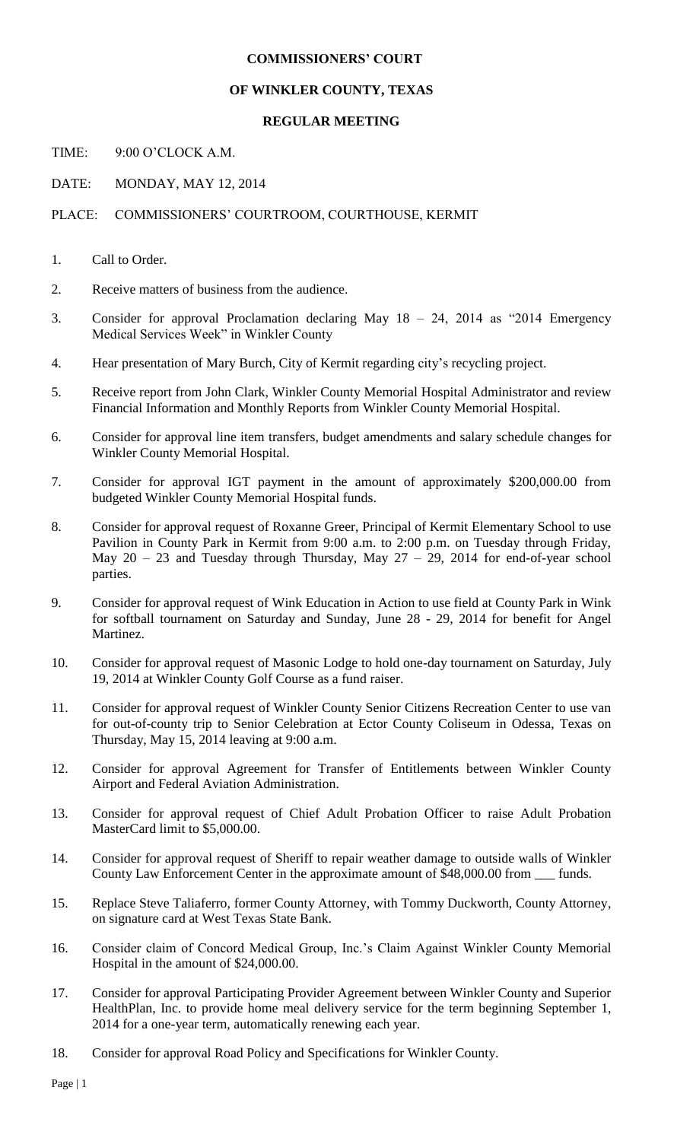## **COMMISSIONERS' COURT**

## **OF WINKLER COUNTY, TEXAS**

## **REGULAR MEETING**

TIME: 9:00 O'CLOCK A.M.

DATE: MONDAY, MAY 12, 2014

PLACE: COMMISSIONERS' COURTROOM, COURTHOUSE, KERMIT

- 1. Call to Order.
- 2. Receive matters of business from the audience.
- 3. Consider for approval Proclamation declaring May 18 24, 2014 as "2014 Emergency Medical Services Week" in Winkler County
- 4. Hear presentation of Mary Burch, City of Kermit regarding city's recycling project.
- 5. Receive report from John Clark, Winkler County Memorial Hospital Administrator and review Financial Information and Monthly Reports from Winkler County Memorial Hospital.
- 6. Consider for approval line item transfers, budget amendments and salary schedule changes for Winkler County Memorial Hospital.
- 7. Consider for approval IGT payment in the amount of approximately \$200,000.00 from budgeted Winkler County Memorial Hospital funds.
- 8. Consider for approval request of Roxanne Greer, Principal of Kermit Elementary School to use Pavilion in County Park in Kermit from 9:00 a.m. to 2:00 p.m. on Tuesday through Friday, May  $20 - 23$  and Tuesday through Thursday, May  $27 - 29$ , 2014 for end-of-year school parties.
- 9. Consider for approval request of Wink Education in Action to use field at County Park in Wink for softball tournament on Saturday and Sunday, June 28 - 29, 2014 for benefit for Angel Martinez.
- 10. Consider for approval request of Masonic Lodge to hold one-day tournament on Saturday, July 19, 2014 at Winkler County Golf Course as a fund raiser.
- 11. Consider for approval request of Winkler County Senior Citizens Recreation Center to use van for out-of-county trip to Senior Celebration at Ector County Coliseum in Odessa, Texas on Thursday, May 15, 2014 leaving at 9:00 a.m.
- 12. Consider for approval Agreement for Transfer of Entitlements between Winkler County Airport and Federal Aviation Administration.
- 13. Consider for approval request of Chief Adult Probation Officer to raise Adult Probation MasterCard limit to \$5,000.00.
- 14. Consider for approval request of Sheriff to repair weather damage to outside walls of Winkler County Law Enforcement Center in the approximate amount of \$48,000.00 from \_\_\_ funds.
- 15. Replace Steve Taliaferro, former County Attorney, with Tommy Duckworth, County Attorney, on signature card at West Texas State Bank.
- 16. Consider claim of Concord Medical Group, Inc.'s Claim Against Winkler County Memorial Hospital in the amount of \$24,000.00.
- 17. Consider for approval Participating Provider Agreement between Winkler County and Superior HealthPlan, Inc. to provide home meal delivery service for the term beginning September 1, 2014 for a one-year term, automatically renewing each year.
- 18. Consider for approval Road Policy and Specifications for Winkler County.